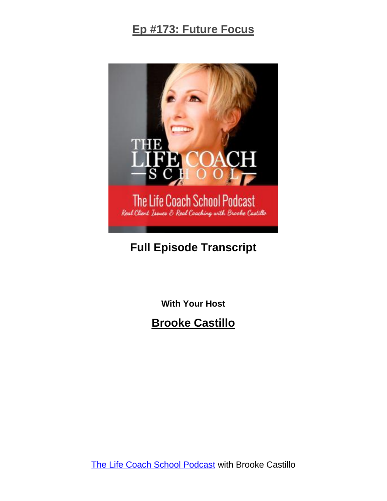

# **Full Episode Transcript**

**With Your Host**

**Brooke Castillo**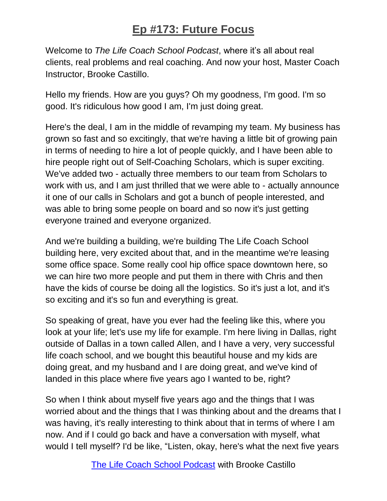Welcome to *The Life Coach School Podcast*, where it's all about real clients, real problems and real coaching. And now your host, Master Coach Instructor, Brooke Castillo.

Hello my friends. How are you guys? Oh my goodness, I'm good. I'm so good. It's ridiculous how good I am, I'm just doing great.

Here's the deal, I am in the middle of revamping my team. My business has grown so fast and so excitingly, that we're having a little bit of growing pain in terms of needing to hire a lot of people quickly, and I have been able to hire people right out of Self-Coaching Scholars, which is super exciting. We've added two - actually three members to our team from Scholars to work with us, and I am just thrilled that we were able to - actually announce it one of our calls in Scholars and got a bunch of people interested, and was able to bring some people on board and so now it's just getting everyone trained and everyone organized.

And we're building a building, we're building The Life Coach School building here, very excited about that, and in the meantime we're leasing some office space. Some really cool hip office space downtown here, so we can hire two more people and put them in there with Chris and then have the kids of course be doing all the logistics. So it's just a lot, and it's so exciting and it's so fun and everything is great.

So speaking of great, have you ever had the feeling like this, where you look at your life; let's use my life for example. I'm here living in Dallas, right outside of Dallas in a town called Allen, and I have a very, very successful life coach school, and we bought this beautiful house and my kids are doing great, and my husband and I are doing great, and we've kind of landed in this place where five years ago I wanted to be, right?

So when I think about myself five years ago and the things that I was worried about and the things that I was thinking about and the dreams that I was having, it's really interesting to think about that in terms of where I am now. And if I could go back and have a conversation with myself, what would I tell myself? I'd be like, "Listen, okay, here's what the next five years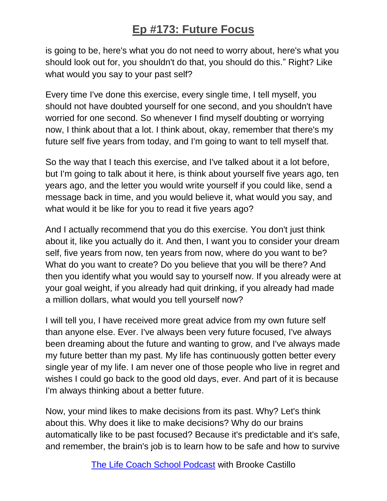is going to be, here's what you do not need to worry about, here's what you should look out for, you shouldn't do that, you should do this." Right? Like what would you say to your past self?

Every time I've done this exercise, every single time, I tell myself, you should not have doubted yourself for one second, and you shouldn't have worried for one second. So whenever I find myself doubting or worrying now, I think about that a lot. I think about, okay, remember that there's my future self five years from today, and I'm going to want to tell myself that.

So the way that I teach this exercise, and I've talked about it a lot before, but I'm going to talk about it here, is think about yourself five years ago, ten years ago, and the letter you would write yourself if you could like, send a message back in time, and you would believe it, what would you say, and what would it be like for you to read it five years ago?

And I actually recommend that you do this exercise. You don't just think about it, like you actually do it. And then, I want you to consider your dream self, five years from now, ten years from now, where do you want to be? What do you want to create? Do you believe that you will be there? And then you identify what you would say to yourself now. If you already were at your goal weight, if you already had quit drinking, if you already had made a million dollars, what would you tell yourself now?

I will tell you, I have received more great advice from my own future self than anyone else. Ever. I've always been very future focused, I've always been dreaming about the future and wanting to grow, and I've always made my future better than my past. My life has continuously gotten better every single year of my life. I am never one of those people who live in regret and wishes I could go back to the good old days, ever. And part of it is because I'm always thinking about a better future.

Now, your mind likes to make decisions from its past. Why? Let's think about this. Why does it like to make decisions? Why do our brains automatically like to be past focused? Because it's predictable and it's safe, and remember, the brain's job is to learn how to be safe and how to survive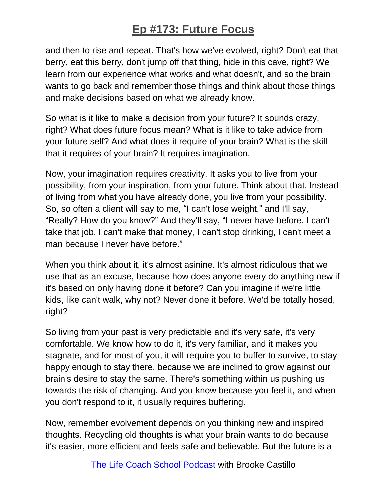and then to rise and repeat. That's how we've evolved, right? Don't eat that berry, eat this berry, don't jump off that thing, hide in this cave, right? We learn from our experience what works and what doesn't, and so the brain wants to go back and remember those things and think about those things and make decisions based on what we already know.

So what is it like to make a decision from your future? It sounds crazy, right? What does future focus mean? What is it like to take advice from your future self? And what does it require of your brain? What is the skill that it requires of your brain? It requires imagination.

Now, your imagination requires creativity. It asks you to live from your possibility, from your inspiration, from your future. Think about that. Instead of living from what you have already done, you live from your possibility. So, so often a client will say to me, "I can't lose weight," and I'll say, "Really? How do you know?" And they'll say, "I never have before. I can't take that job, I can't make that money, I can't stop drinking, I can't meet a man because I never have before."

When you think about it, it's almost asinine. It's almost ridiculous that we use that as an excuse, because how does anyone every do anything new if it's based on only having done it before? Can you imagine if we're little kids, like can't walk, why not? Never done it before. We'd be totally hosed, right?

So living from your past is very predictable and it's very safe, it's very comfortable. We know how to do it, it's very familiar, and it makes you stagnate, and for most of you, it will require you to buffer to survive, to stay happy enough to stay there, because we are inclined to grow against our brain's desire to stay the same. There's something within us pushing us towards the risk of changing. And you know because you feel it, and when you don't respond to it, it usually requires buffering.

Now, remember evolvement depends on you thinking new and inspired thoughts. Recycling old thoughts is what your brain wants to do because it's easier, more efficient and feels safe and believable. But the future is a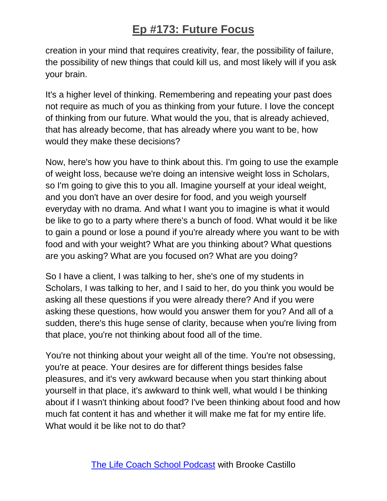creation in your mind that requires creativity, fear, the possibility of failure, the possibility of new things that could kill us, and most likely will if you ask your brain.

It's a higher level of thinking. Remembering and repeating your past does not require as much of you as thinking from your future. I love the concept of thinking from our future. What would the you, that is already achieved, that has already become, that has already where you want to be, how would they make these decisions?

Now, here's how you have to think about this. I'm going to use the example of weight loss, because we're doing an intensive weight loss in Scholars, so I'm going to give this to you all. Imagine yourself at your ideal weight, and you don't have an over desire for food, and you weigh yourself everyday with no drama. And what I want you to imagine is what it would be like to go to a party where there's a bunch of food. What would it be like to gain a pound or lose a pound if you're already where you want to be with food and with your weight? What are you thinking about? What questions are you asking? What are you focused on? What are you doing?

So I have a client, I was talking to her, she's one of my students in Scholars, I was talking to her, and I said to her, do you think you would be asking all these questions if you were already there? And if you were asking these questions, how would you answer them for you? And all of a sudden, there's this huge sense of clarity, because when you're living from that place, you're not thinking about food all of the time.

You're not thinking about your weight all of the time. You're not obsessing, you're at peace. Your desires are for different things besides false pleasures, and it's very awkward because when you start thinking about yourself in that place, it's awkward to think well, what would I be thinking about if I wasn't thinking about food? I've been thinking about food and how much fat content it has and whether it will make me fat for my entire life. What would it be like not to do that?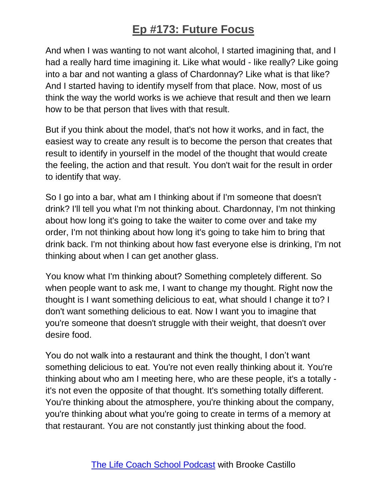And when I was wanting to not want alcohol, I started imagining that, and I had a really hard time imagining it. Like what would - like really? Like going into a bar and not wanting a glass of Chardonnay? Like what is that like? And I started having to identify myself from that place. Now, most of us think the way the world works is we achieve that result and then we learn how to be that person that lives with that result.

But if you think about the model, that's not how it works, and in fact, the easiest way to create any result is to become the person that creates that result to identify in yourself in the model of the thought that would create the feeling, the action and that result. You don't wait for the result in order to identify that way.

So I go into a bar, what am I thinking about if I'm someone that doesn't drink? I'll tell you what I'm not thinking about. Chardonnay, I'm not thinking about how long it's going to take the waiter to come over and take my order, I'm not thinking about how long it's going to take him to bring that drink back. I'm not thinking about how fast everyone else is drinking, I'm not thinking about when I can get another glass.

You know what I'm thinking about? Something completely different. So when people want to ask me, I want to change my thought. Right now the thought is I want something delicious to eat, what should I change it to? I don't want something delicious to eat. Now I want you to imagine that you're someone that doesn't struggle with their weight, that doesn't over desire food.

You do not walk into a restaurant and think the thought, I don't want something delicious to eat. You're not even really thinking about it. You're thinking about who am I meeting here, who are these people, it's a totally it's not even the opposite of that thought. It's something totally different. You're thinking about the atmosphere, you're thinking about the company, you're thinking about what you're going to create in terms of a memory at that restaurant. You are not constantly just thinking about the food.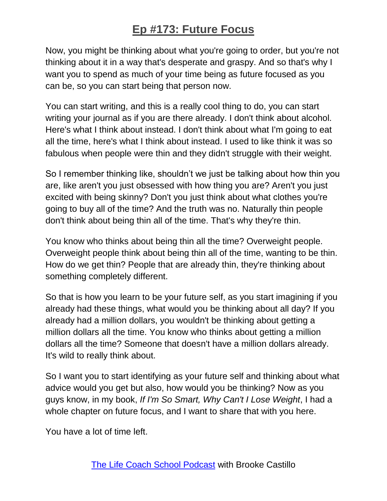Now, you might be thinking about what you're going to order, but you're not thinking about it in a way that's desperate and graspy. And so that's why I want you to spend as much of your time being as future focused as you can be, so you can start being that person now.

You can start writing, and this is a really cool thing to do, you can start writing your journal as if you are there already. I don't think about alcohol. Here's what I think about instead. I don't think about what I'm going to eat all the time, here's what I think about instead. I used to like think it was so fabulous when people were thin and they didn't struggle with their weight.

So I remember thinking like, shouldn't we just be talking about how thin you are, like aren't you just obsessed with how thing you are? Aren't you just excited with being skinny? Don't you just think about what clothes you're going to buy all of the time? And the truth was no. Naturally thin people don't think about being thin all of the time. That's why they're thin.

You know who thinks about being thin all the time? Overweight people. Overweight people think about being thin all of the time, wanting to be thin. How do we get thin? People that are already thin, they're thinking about something completely different.

So that is how you learn to be your future self, as you start imagining if you already had these things, what would you be thinking about all day? If you already had a million dollars, you wouldn't be thinking about getting a million dollars all the time. You know who thinks about getting a million dollars all the time? Someone that doesn't have a million dollars already. It's wild to really think about.

So I want you to start identifying as your future self and thinking about what advice would you get but also, how would you be thinking? Now as you guys know, in my book, *If I'm So Smart, Why Can't I Lose Weight*, I had a whole chapter on future focus, and I want to share that with you here.

You have a lot of time left.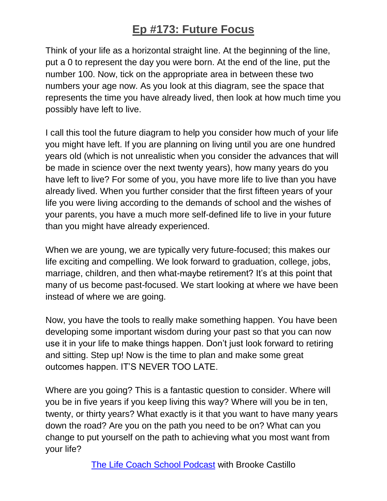Think of your life as a horizontal straight line. At the beginning of the line, put a 0 to represent the day you were born. At the end of the line, put the number 100. Now, tick on the appropriate area in between these two numbers your age now. As you look at this diagram, see the space that represents the time you have already lived, then look at how much time you possibly have left to live.

I call this tool the future diagram to help you consider how much of your life you might have left. If you are planning on living until you are one hundred years old (which is not unrealistic when you consider the advances that will be made in science over the next twenty years), how many years do you have left to live? For some of you, you have more life to live than you have already lived. When you further consider that the first fifteen years of your life you were living according to the demands of school and the wishes of your parents, you have a much more self-defined life to live in your future than you might have already experienced.

When we are young, we are typically very future-focused; this makes our life exciting and compelling. We look forward to graduation, college, jobs, marriage, children, and then what-maybe retirement? It's at this point that many of us become past-focused. We start looking at where we have been instead of where we are going.

Now, you have the tools to really make something happen. You have been developing some important wisdom during your past so that you can now use it in your life to make things happen. Don't just look forward to retiring and sitting. Step up! Now is the time to plan and make some great outcomes happen. IT'S NEVER TOO LATE.

Where are you going? This is a fantastic question to consider. Where will you be in five years if you keep living this way? Where will you be in ten, twenty, or thirty years? What exactly is it that you want to have many years down the road? Are you on the path you need to be on? What can you change to put yourself on the path to achieving what you most want from your life?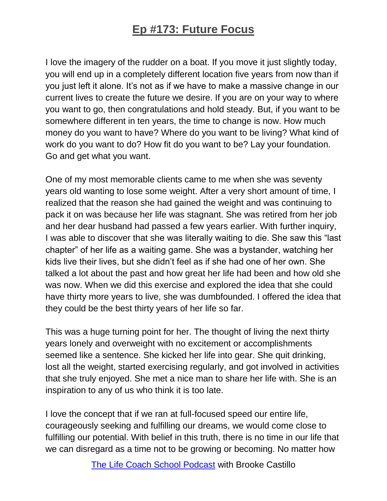I love the imagery of the rudder on a boat. If you move it just slightly today, you will end up in a completely different location five years from now than if you just left it alone. It's not as if we have to make a massive change in our current lives to create the future we desire. If you are on your way to where you want to go, then congratulations and hold steady. But, if you want to be somewhere different in ten years, the time to change is now. How much money do you want to have? Where do you want to be living? What kind of work do you want to do? How fit do you want to be? Lay your foundation. Go and get what you want.

One of my most memorable clients came to me when she was seventy years old wanting to lose some weight. After a very short amount of time, I realized that the reason she had gained the weight and was continuing to pack it on was because her life was stagnant. She was retired from her job and her dear husband had passed a few years earlier. With further inquiry, I was able to discover that she was literally waiting to die. She saw this "last chapter" of her life as a waiting game. She was a bystander, watching her kids live their lives, but she didn't feel as if she had one of her own. She talked a lot about the past and how great her life had been and how old she was now. When we did this exercise and explored the idea that she could have thirty more years to live, she was dumbfounded. I offered the idea that they could be the best thirty years of her life so far.

This was a huge turning point for her. The thought of living the next thirty years lonely and overweight with no excitement or accomplishments seemed like a sentence. She kicked her life into gear. She quit drinking, lost all the weight, started exercising regularly, and got involved in activities that she truly enjoyed. She met a nice man to share her life with. She is an inspiration to any of us who think it is too late.

I love the concept that if we ran at full-focused speed our entire life, courageously seeking and fulfilling our dreams, we would come close to fulfilling our potential. With belief in this truth, there is no time in our life that we can disregard as a time not to be growing or becoming. No matter how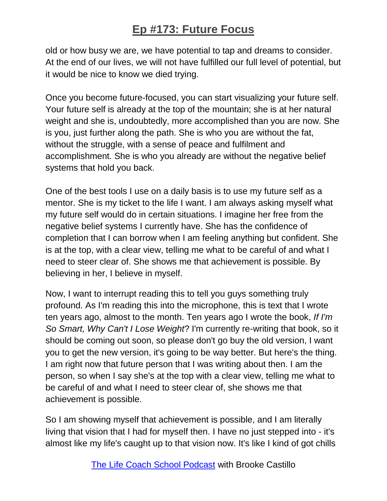old or how busy we are, we have potential to tap and dreams to consider. At the end of our lives, we will not have fulfilled our full level of potential, but it would be nice to know we died trying.

Once you become future-focused, you can start visualizing your future self. Your future self is already at the top of the mountain; she is at her natural weight and she is, undoubtedly, more accomplished than you are now. She is you, just further along the path. She is who you are without the fat, without the struggle, with a sense of peace and fulfilment and accomplishment. She is who you already are without the negative belief systems that hold you back.

One of the best tools I use on a daily basis is to use my future self as a mentor. She is my ticket to the life I want. I am always asking myself what my future self would do in certain situations. I imagine her free from the negative belief systems I currently have. She has the confidence of completion that I can borrow when I am feeling anything but confident. She is at the top, with a clear view, telling me what to be careful of and what I need to steer clear of. She shows me that achievement is possible. By believing in her, I believe in myself.

Now, I want to interrupt reading this to tell you guys something truly profound. As I'm reading this into the microphone, this is text that I wrote ten years ago, almost to the month. Ten years ago I wrote the book, *If I'm So Smart, Why Can't I Lose Weight*? I'm currently re-writing that book, so it should be coming out soon, so please don't go buy the old version, I want you to get the new version, it's going to be way better. But here's the thing. I am right now that future person that I was writing about then. I am the person, so when I say she's at the top with a clear view, telling me what to be careful of and what I need to steer clear of, she shows me that achievement is possible.

So I am showing myself that achievement is possible, and I am literally living that vision that I had for myself then. I have no just stepped into - it's almost like my life's caught up to that vision now. It's like I kind of got chills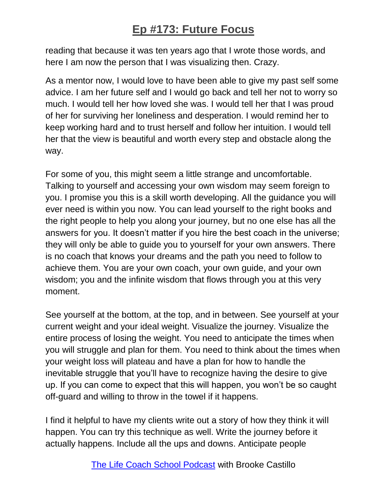reading that because it was ten years ago that I wrote those words, and here I am now the person that I was visualizing then. Crazy.

As a mentor now, I would love to have been able to give my past self some advice. I am her future self and I would go back and tell her not to worry so much. I would tell her how loved she was. I would tell her that I was proud of her for surviving her loneliness and desperation. I would remind her to keep working hard and to trust herself and follow her intuition. I would tell her that the view is beautiful and worth every step and obstacle along the way.

For some of you, this might seem a little strange and uncomfortable. Talking to yourself and accessing your own wisdom may seem foreign to you. I promise you this is a skill worth developing. All the guidance you will ever need is within you now. You can lead yourself to the right books and the right people to help you along your journey, but no one else has all the answers for you. It doesn't matter if you hire the best coach in the universe; they will only be able to guide you to yourself for your own answers. There is no coach that knows your dreams and the path you need to follow to achieve them. You are your own coach, your own guide, and your own wisdom; you and the infinite wisdom that flows through you at this very moment.

See yourself at the bottom, at the top, and in between. See yourself at your current weight and your ideal weight. Visualize the journey. Visualize the entire process of losing the weight. You need to anticipate the times when you will struggle and plan for them. You need to think about the times when your weight loss will plateau and have a plan for how to handle the inevitable struggle that you'll have to recognize having the desire to give up. If you can come to expect that this will happen, you won't be so caught off-guard and willing to throw in the towel if it happens.

I find it helpful to have my clients write out a story of how they think it will happen. You can try this technique as well. Write the journey before it actually happens. Include all the ups and downs. Anticipate people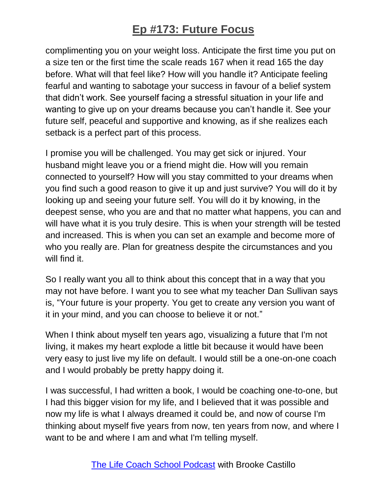complimenting you on your weight loss. Anticipate the first time you put on a size ten or the first time the scale reads 167 when it read 165 the day before. What will that feel like? How will you handle it? Anticipate feeling fearful and wanting to sabotage your success in favour of a belief system that didn't work. See yourself facing a stressful situation in your life and wanting to give up on your dreams because you can't handle it. See your future self, peaceful and supportive and knowing, as if she realizes each setback is a perfect part of this process.

I promise you will be challenged. You may get sick or injured. Your husband might leave you or a friend might die. How will you remain connected to yourself? How will you stay committed to your dreams when you find such a good reason to give it up and just survive? You will do it by looking up and seeing your future self. You will do it by knowing, in the deepest sense, who you are and that no matter what happens, you can and will have what it is you truly desire. This is when your strength will be tested and increased. This is when you can set an example and become more of who you really are. Plan for greatness despite the circumstances and you will find it.

So I really want you all to think about this concept that in a way that you may not have before. I want you to see what my teacher Dan Sullivan says is, "Your future is your property. You get to create any version you want of it in your mind, and you can choose to believe it or not."

When I think about myself ten years ago, visualizing a future that I'm not living, it makes my heart explode a little bit because it would have been very easy to just live my life on default. I would still be a one-on-one coach and I would probably be pretty happy doing it.

I was successful, I had written a book, I would be coaching one-to-one, but I had this bigger vision for my life, and I believed that it was possible and now my life is what I always dreamed it could be, and now of course I'm thinking about myself five years from now, ten years from now, and where I want to be and where I am and what I'm telling myself.